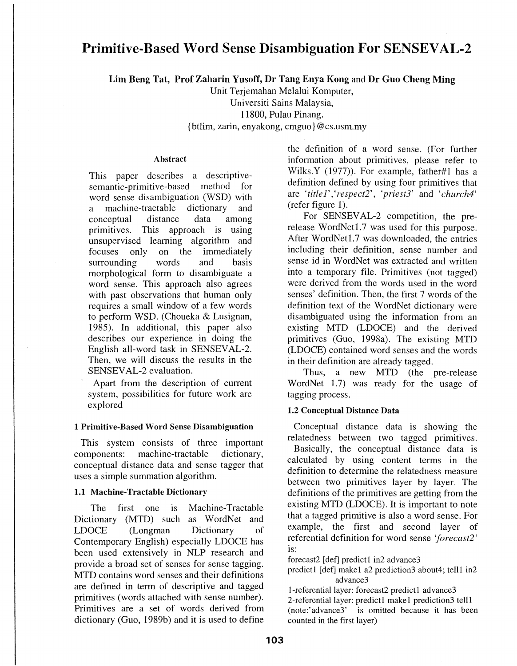# Primitive-Based Word Sense Disambiguation For SENSEVAL-2

Lim Beng Tat, Prof Zaharin Yusoff, Dr Tang Enya Kong and Dr Guo Cheng Ming

Unit Terjemahan Melalui Komputer,

Universiti Sains Malaysia, 11800, Pulau Pinang.

{ btlim, zarin, enyakong, cmguo} @cs.usm.my

# Abstract

This paper describes a descriptivesemantic-primitive-based method for word sense disambiguation (WSD) with<br>a machine-tractable dictionary and a machine-tractable dictionary and conceptual distance data among primitives. This approach is using unsupervised learning algorithm and<br>focuses only on the immediately on the immediately<br>words and basis surrounding words and morphological form to disambiguate a word sense. This approach also agrees with past observations that human only requires a small window of a few words to perform WSD. (Choueka & Lusignan, 1985). In additional, this paper also describes our experience in doing the English all-word task in SENSEVAL-2. Then, we will discuss the results in the SENSEV AL-2 evaluation.

Apart from the description of current system, possibilities for future work are explored

# 1 Primitive-Based Word Sense Disambiguation

This system consists of three important components: machine-tractable dictionary, conceptual distance data and sense tagger that uses a simple summation algorithm.

# 1.1 Machine-Tractable Dictionary

The first one is Machine-Tractable Dictionary (MTD) such as WordNet and LDOCE (Longman Dictionary of Contemporary English) especially LDOCE has been used extensively in NLP research and provide a broad set of senses for sense tagging. MTD contains word senses and their definitions are defined in term of descriptive and tagged primitives (words attached with sense number). Primitives are a set of words derived from dictionary (Guo, 1989b) and it is used to define the definition of a word sense. (For further information about primitives, please refer to Wilks.Y (1977)). For example, father#1 has a definition defined by using four primitives that are *'title 1'* ,' *respect2', 'priest3'* and *'church4'*  (refer figure 1).

For SENSEVAL-2 competition, the prerelease WordNet1.7 was used for this purpose. After WordNetl.7 was downloaded, the entries including their definition, sense number and sense id in WordNet was extracted and written into a temporary file. Primitives (not tagged) were derived from the words used in the word senses' definition. Then, the first 7 words of the definition text of the WordNet dictionary were disambiguated using the information from an existing MTD (LDOCE) and the derived primitives (Guo, 1998a). The existing MTD (LDOCE) contained word senses and the words in their definition are already tagged.

Thus, a new MTD (the pre-release WordNet 1.7) was ready for the usage of tagging process.

# 1.2 Conceptual Distance Data

Conceptual distance data is showing the relatedness between two tagged primitives. Basically, the conceptual distance data is calculated by using content terms in the definition to determine the relatedness measure between two primitives layer by layer. The definitions of the primitives are getting from the existing MTD (LDOCE). It is important to note that a tagged primitive is also a word sense. For example, the first and second layer of referential definition for word sense *'forecast2'*  IS:

forecast2  $[def]$  predict1 in2 advance3

predict1 [def] make1 a2 prediction3 about4; tell1 in2 advance3

1-referential layer: forecast2 predict1 advance3 2-referential layer: predict1 make1 prediction3 tell1 (note:'advance3' is omitted because it has been counted in the first layer)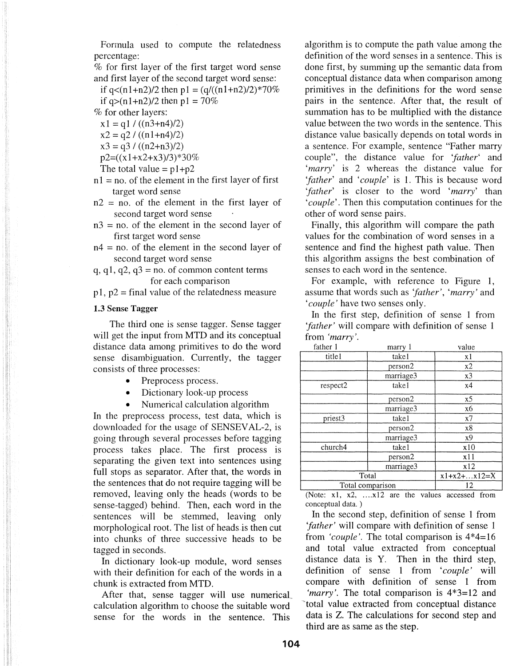Formula used to compute the relatedness percentage:

% for first layer of the first target word sense and first layer of the second target word sense:

if  $q<(n1+n2)/2$  then  $p1 = (q/((n1+n2)/2)*70\%$ if  $q>(n1+n2)/2$  then  $p1 = 70%$ 

%for other layers:

 $x1 = q1 / ((n3+n4)/2)$  $x^2 = q^2 / ((n1+n4)/2)$ 

$$
\begin{array}{c}\n \lambda z - qz / ((n_1 + n_2 / z) \\
x^2 - \frac{q^2}{(n_2 + n_3)}\n \end{array}
$$

$$
23 - 437
$$
 (ln2+13)/2)

 $p2=((x1+x2+x3)/3)*30\%$ 

The total value = 
$$
p1+p2
$$

 $n1 = no$ . of the element in the first layer of first target word sense

 $n2$  = no. of the element in the first layer of second target word sense

 $n3 = no$ . of the element in the second layer of first target word sense

 $n4$  = no. of the element in the second layer of second target word sense

q, q1, q2, q3 = no. of common content terms for each comparison

 $p1$ ,  $p2$  = final value of the relatedness measure

#### 1.3 Sense Tagger

The third one is sense tagger. Sense tagger will get the input from MTD and its conceptual distance data among primitives to do the word sense disambiguation. Currently, the tagger consists of three processes:

- Preprocess process.
- Dictionary look-up process
- Numerical calculation algorithm

In the preprocess process, test data, which is downloaded for the usage of SENSEVAL-2, is going through several processes before tagging process takes place. The first process is separating the given text into sentences using full stops as separator. After that, the words in the sentences that do not require tagging will be removed, leaving only the heads (words to be sense-tagged) behind. Then, each word in the sentences will be stemmed, leaving only morphological root. The list of heads is then cut into chunks of three successive heads to be tagged in seconds.

In dictionary look-up module, word senses with their definition for each of the words in a chunk is extracted from MTD.

After that, sense tagger will use numerical. calculation algorithm to choose the suitable word sense for the words in the sentence. This

algorithm is to compute the path value among the definition of the word senses in a sentence. This is done first, by summing up the semantic data from conceptual distance data when comparison among primitives in the definitions for the word sense pairs in the sentence. After that, the result of summation has to be multiplied with the distance value between the two words in the sentence. This distance value basically depends on total words in a sentence. For example, sentence "Father marry couple", the distance value for *'father'* and *'marry'* is 2 whereas the distance value for *'father'* and *'couple'* is 1. This is because word *'father'* is closer to the word *'marry'* than *'couple'.* Then this computation continues for the other of word sense pairs.

Finally, this algorithm will compare the path values for the combination of word senses in a sentence and find the highest path value. Then this algorithm assigns the best combination of senses to each word in the sentence.

For example, with reference to Figure 1, assume that words such as *'father', 'marry'* and *'couple'* have two senses only.

In the first step, definition of sense 1 from *'father'* will compare with definition of sense 1 from *'marry'.* 

| father 1         | marry 1   | value          |
|------------------|-----------|----------------|
| title1           | take1     | x1             |
|                  | person2   | x2             |
|                  | marriage3 | x3             |
| respect2         | take1     | x4             |
|                  | person2   | x <sub>5</sub> |
|                  | marriage3 | x6             |
| priest3          | takel     | x7             |
|                  | person2   | x8             |
|                  | marriage3 | x <sub>9</sub> |
| church4          | takel     | x10            |
|                  | person2   | x11            |
|                  | marriage3 | x12            |
| Total            |           | $x1+x2+x12=X$  |
| Total comparison |           | 12             |

(Note:  $x1$ ,  $x2$ , .... $x12$  are the values accessed from conceptual data. )

In the second step, definition of sense 1 from *'father'* will compare with definition of sense 1 from *'couple'.* The total comparison is 4\*4=16 and total value extracted from conceptual distance data is Y. Then in the third step, definition of sense 1 from *'couple'* will compare with definition of sense 1 from *'marry'.* The total comparison is 4\*3=12 and 'total value extracted from conceptual distance data is Z. The calculations for second step and third are as same as the step.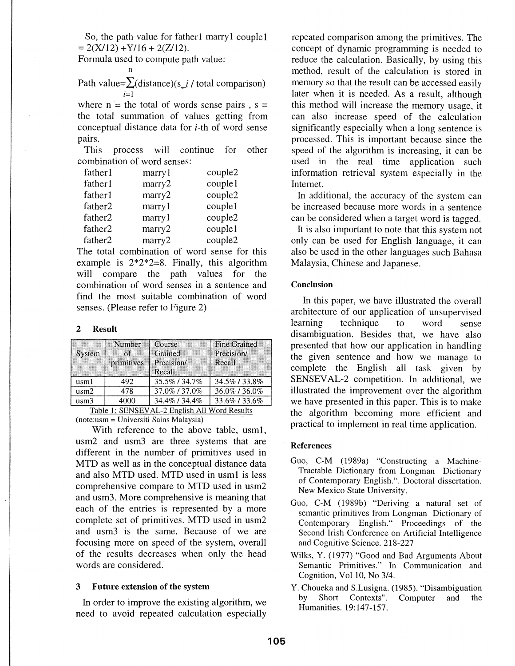So, the path value for father1 marry1 couple1  $= 2(X/12) + Y/16 + 2(Z/12).$ 

Formula used to compute path value:

n

Path value= $\sum$ (distance)(s\_i / total comparison)  $i=1$ 

where  $n =$  the total of words sense pairs,  $s =$ the total summation of values getting from conceptual distance data for i-th of word sense pairs.

This process will continue for other combination of word senses:

| father1             | marry l | couple2 |
|---------------------|---------|---------|
| father1             | mary2   | couple1 |
| father1             | mary2   | couple2 |
| father <sub>2</sub> | marry 1 | couple1 |
| father <sub>2</sub> | marry l | couple2 |
| father <sub>2</sub> | mary2   | couple1 |
| father <sub>2</sub> | mary2   | couple2 |

The total combination of word sense for this example is  $2*2*2=8$ . Finally, this algorithm will compare the path values for the combination of word senses in a sentence and find the most suitable combination of word senses. (Please refer to Figure 2)

### 2 Result

| System                                                                        | Number<br>ിന്<br>primitives | Course<br>Grained<br>Precision/<br>Recall | Fine Grained<br>Precision<br>Recall |  |
|-------------------------------------------------------------------------------|-----------------------------|-------------------------------------------|-------------------------------------|--|
| usml                                                                          | 492                         | 35.5%/34.7%                               | 34.5% / 33.8%                       |  |
| $u$ sm $2$                                                                    | 478                         | 37.0% / 37.0%                             | 36.0%/36.0%                         |  |
| usm3                                                                          | 4000                        | 34.4% / 34.4%                             | 33.6%/33.6%                         |  |
| $\blacksquare$ . CONTOURLET A P. P. P. LET LET $\blacksquare$<br>PP . 1. 1. . |                             |                                           |                                     |  |

Table I: SENSEV AL-2 English All Word Results (note:usm = Universiti Sains Malaysia)

With reference to the above table, usml, usm2 and usm3 are three systems that are different in the number of primitives used in MTD as well as in the conceptual distance data and also MTD used. MTD used in usml is less comprehensive compare to MTD used in usm2 and usm3. More comprehensive is meaning that each of the entries is represented by a more complete set of primitives. MTD used in usm2 and usm3 is the same. Because of we are focusing more on speed of the system, overall of the results decreases when only the head words are considered.

#### 3 Future extension of the system

In order to improve the existing algorithm, we need to avoid repeated calculation especially

repeated comparison among the primitives. The concept of dynamic programming is needed to reduce the calculation. Basically, by using this method, result of the calculation is stored in memory so that the result can be accessed easily later when it is needed. As a result, although this method will increase the memory usage, it can also increase speed of the calculation significantly especially when a long sentence is processed. This is important because since the speed of the algorithm is increasing, it can be used in the real time application such information retrieval system especially in the Internet.

In additional, the accuracy of the system can be increased because more words in a sentence can be considered when a target word is tagged.

It is also important to note that this system not only can be used for English language, it can also be used in the other languages such Bahasa Malaysia, Chinese and Japanese.

#### Conclusion

In this paper, we have illustrated the overall architecture of our application of unsupervised learning technique to word sense disambiguation. Besides that, we have also presented that how our application in handling the given sentence and how we manage to complete the English all task given by SENSEVAL-2 competition. In additional, we illustrated the improvement over the algorithm we have presented in this paper. This is to make the algorithm becoming more efficient and practical to implement in real time application.

### References

- Guo, C-M (1989a) "Constructing a Machine-Tractable Dictionary from Longman Dictionary of Contemporary English.". Doctoral dissertation. New Mexico State University.
- Guo, C-M (1989b) "Deriving a natural set of semantic primitives from Longman Dictionary of Contemporary English." Proceedings of the Second Irish Conference on Artificial Intelligence and Cognitive Science. 218-227
- Wilks, Y. (1977) "Good and Bad Arguments About Semantic Primitives." In Communication and Cognition, Vol 10, No 3/4.
- Y. Choueka and S.Lusigna. (1985). "Disambiguation by Short Contexts". Computer and the Humanities. 19:147-157.